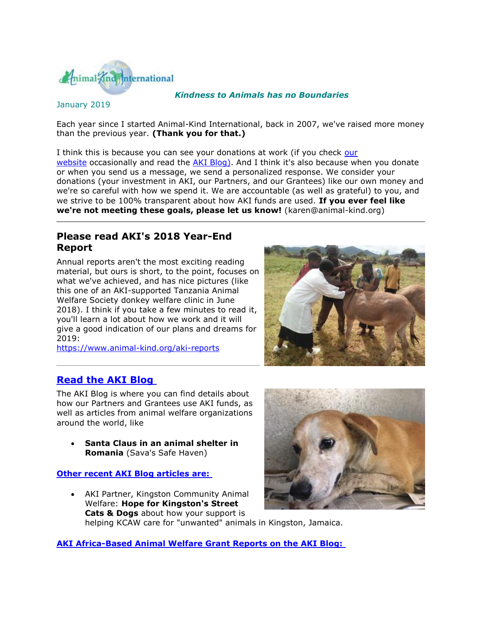

### *Kindness to Animals has no Boundaries*

### January 2019

Each year since I started Animal-Kind International, back in 2007, we've raised more money than the previous year. **(Thank you for that.)**

I think this is because you can see your donations at work (if you check [our](http://cts.vresp.com/c/?AnimalKindInternatio/db70701efb/f33df9aebc/232c8a6e90)  [website](http://cts.vresp.com/c/?AnimalKindInternatio/db70701efb/f33df9aebc/232c8a6e90) occasionally and read the [AKI Blog\).](http://cts.vresp.com/c/?AnimalKindInternatio/db70701efb/f33df9aebc/dbaa2a6112) And I think it's also because when you donate or when you send us a message, we send a personalized response. We consider your donations (your investment in AKI, our Partners, and our Grantees) like our own money and we're so careful with how we spend it. We are accountable (as well as grateful) to you, and we strive to be 100% transparent about how AKI funds are used. **If you ever feel like we're not meeting these goals, please let us know!** (karen@animal-kind.org)

## **Please read AKI's 2018 Year-End Report**

Annual reports aren't the most exciting reading material, but ours is short, to the point, focuses on what we've achieved, and has nice pictures (like this one of an AKI-supported Tanzania Animal Welfare Society donkey welfare clinic in June 2018). I think if you take a few minutes to read it, you'll learn a lot about how we work and it will give a good indication of our plans and dreams for 2019:

[https://www.animal-kind.org/aki-reports](http://cts.vresp.com/c/?AnimalKindInternatio/db70701efb/f33df9aebc/4eb1927eed)



## **[Read the AKI Blog](http://cts.vresp.com/c/?AnimalKindInternatio/db70701efb/f33df9aebc/6675e59c24)**

The AKI Blog is where you can find details about how our Partners and Grantees use AKI funds, as well as articles from animal welfare organizations around the world, like

 **Santa Claus in an animal shelter in Romania** (Sava's Safe Haven)

#### **[Other recent AKI Blog articles are:](http://cts.vresp.com/c/?AnimalKindInternatio/db70701efb/f33df9aebc/f37c612661)**

 AKI Partner, Kingston Community Animal Welfare: **Hope for Kingston's Street Cats & Dogs** about how your support is helping KCAW care for "unwanted" animals in Kingston, Jamaica.



**[AKI Africa-Based Animal Welfare Grant Reports on the AKI Blog:](http://cts.vresp.com/c/?AnimalKindInternatio/db70701efb/f33df9aebc/8fe6deed1d)**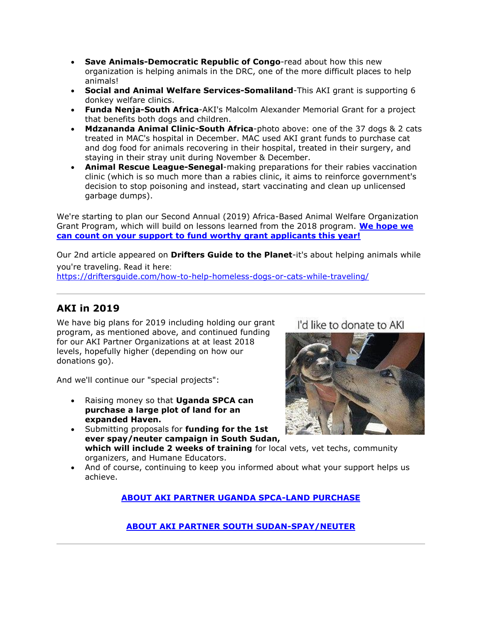- **Save Animals-Democratic Republic of Congo**-read about how this new organization is helping animals in the DRC, one of the more difficult places to help animals!
- **Social and Animal Welfare Services-Somaliland**-This AKI grant is supporting 6 donkey welfare clinics.
- **Funda Nenja-South Africa**-AKI's Malcolm Alexander Memorial Grant for a project that benefits both dogs and children.
- **Mdzananda Animal Clinic-South Africa**-photo above: one of the 37 dogs & 2 cats treated in MAC's hospital in December. MAC used AKI grant funds to purchase cat and dog food for animals recovering in their hospital, treated in their surgery, and staying in their stray unit during November & December.
- **Animal Rescue League-Senegal**-making preparations for their rabies vaccination clinic (which is so much more than a rabies clinic, it aims to reinforce government's decision to stop poisoning and instead, start vaccinating and clean up unlicensed garbage dumps).

We're starting to plan our Second Annual (2019) Africa-Based Animal Welfare Organization Grant Program, which will build on lessons learned from the 2018 program. **[We hope we](http://cts.vresp.com/c/?AnimalKindInternatio/db70701efb/f33df9aebc/5538cb5237)  [can count on your support to fund worthy grant applicants this year!](http://cts.vresp.com/c/?AnimalKindInternatio/db70701efb/f33df9aebc/5538cb5237)**

Our 2nd article appeared on **Drifters Guide to the Planet**-it's about helping animals while you're traveling. Read it here:

[https://driftersguide.com/how-to-help-homeless-dogs-or-cats-while-traveling/](http://cts.vresp.com/c/?AnimalKindInternatio/db70701efb/f33df9aebc/2a7de0b975)

# **AKI in 2019**

We have big plans for 2019 including holding our grant program, as mentioned above, and continued funding for our AKI Partner Organizations at at least 2018 levels, hopefully higher (depending on how our donations go).

And we'll continue our "special projects":

- Raising money so that **Uganda SPCA can purchase a large plot of land for an expanded Haven.**
- Submitting proposals for **funding for the 1st ever spay/neuter campaign in South Sudan, which will include 2 weeks of training** for local vets, vet techs, community organizers, and Humane Educators.
- And of course, continuing to keep you informed about what your support helps us achieve.

**[ABOUT AKI PARTNER UGANDA SPCA-LAND PURCHASE](http://cts.vresp.com/c/?AnimalKindInternatio/db70701efb/f33df9aebc/df68eed9c1)**

# I'd like to donate to AKI



## **[ABOUT AKI PARTNER SOUTH SUDAN-SPAY/NEUTER](http://cts.vresp.com/c/?AnimalKindInternatio/db70701efb/f33df9aebc/cf35471b86)**